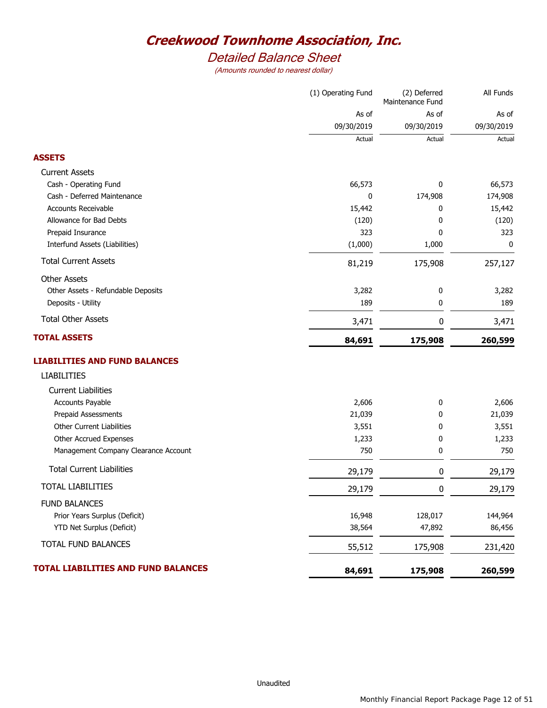# *Detailed Balance Sheet*

|                                            | (1) Operating Fund | (2) Deferred<br>Maintenance Fund | All Funds  |
|--------------------------------------------|--------------------|----------------------------------|------------|
|                                            | As of              | As of                            | As of      |
|                                            | 09/30/2019         | 09/30/2019                       | 09/30/2019 |
|                                            | Actual             | Actual                           | Actual     |
| <b>ASSETS</b>                              |                    |                                  |            |
| <b>Current Assets</b>                      |                    |                                  |            |
| Cash - Operating Fund                      | 66,573             | 0                                | 66,573     |
| Cash - Deferred Maintenance                | 0                  | 174,908                          | 174,908    |
| Accounts Receivable                        | 15,442             | 0                                | 15,442     |
| Allowance for Bad Debts                    | (120)              | 0                                | (120)      |
| Prepaid Insurance                          | 323                | 0                                | 323        |
| Interfund Assets (Liabilities)             | (1,000)            | 1,000                            | 0          |
| <b>Total Current Assets</b>                | 81,219             | 175,908                          | 257,127    |
| <b>Other Assets</b>                        |                    |                                  |            |
| Other Assets - Refundable Deposits         | 3,282              | 0                                | 3,282      |
| Deposits - Utility                         | 189                | 0                                | 189        |
| <b>Total Other Assets</b>                  | 3,471              | 0                                | 3,471      |
| <b>TOTAL ASSETS</b>                        | 84,691             | 175,908                          | 260,599    |
| <b>LIABILITIES AND FUND BALANCES</b>       |                    |                                  |            |
| <b>LIABILITIES</b>                         |                    |                                  |            |
| <b>Current Liabilities</b>                 |                    |                                  |            |
| Accounts Payable                           | 2,606              | 0                                | 2,606      |
| Prepaid Assessments                        | 21,039             | 0                                | 21,039     |
| <b>Other Current Liabilities</b>           | 3,551              | 0                                | 3,551      |
| Other Accrued Expenses                     | 1,233              | 0                                | 1,233      |
| Management Company Clearance Account       | 750                | 0                                | 750        |
| <b>Total Current Liabilities</b>           | 29,179             | 0                                | 29,179     |
| <b>TOTAL LIABILITIES</b>                   | 29,179             | 0                                | 29,179     |
| <b>FUND BALANCES</b>                       |                    |                                  |            |
| Prior Years Surplus (Deficit)              | 16,948             | 128,017                          | 144,964    |
| YTD Net Surplus (Deficit)                  | 38,564             | 47,892                           | 86,456     |
| TOTAL FUND BALANCES                        | 55,512             | 175,908                          | 231,420    |
| <b>TOTAL LIABILITIES AND FUND BALANCES</b> | 84,691             | 175,908                          | 260,599    |
|                                            |                    |                                  |            |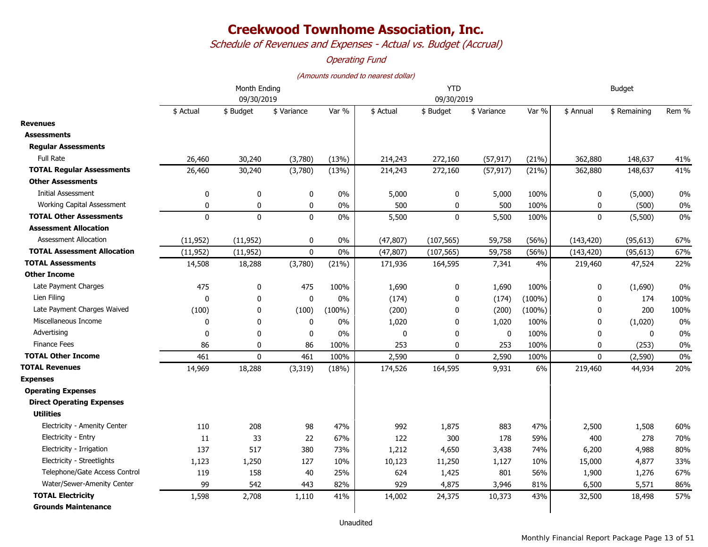*Schedule of Revenues and Expenses - Actual vs. Budget (Accrual)*

### *Operating Fund*

|                                    | Month Ending<br>09/30/2019 |              |             |           | <b>YTD</b><br>09/30/2019 |              |              |           | <b>Budget</b> |              |       |
|------------------------------------|----------------------------|--------------|-------------|-----------|--------------------------|--------------|--------------|-----------|---------------|--------------|-------|
|                                    | \$ Actual                  | \$ Budget    | \$ Variance | Var %     | \$ Actual                | \$ Budget    | \$ Variance  | Var %     | \$ Annual     | \$ Remaining | Rem % |
| <b>Revenues</b>                    |                            |              |             |           |                          |              |              |           |               |              |       |
| <b>Assessments</b>                 |                            |              |             |           |                          |              |              |           |               |              |       |
| <b>Regular Assessments</b>         |                            |              |             |           |                          |              |              |           |               |              |       |
| <b>Full Rate</b>                   | 26,460                     | 30,240       | (3,780)     | (13%)     | 214,243                  | 272,160      | (57, 917)    | (21%)     | 362,880       | 148,637      | 41%   |
| <b>TOTAL Regular Assessments</b>   | 26,460                     | 30,240       | (3,780)     | (13%)     | 214,243                  | 272,160      | (57, 917)    | (21%)     | 362,880       | 148,637      | 41%   |
| Other Assessments                  |                            |              |             |           |                          |              |              |           |               |              |       |
| <b>Initial Assessment</b>          | 0                          | $\mathbf 0$  | 0           | 0%        | 5,000                    | $\bf{0}$     | 5,000        | 100%      | $\pmb{0}$     | (5,000)      | 0%    |
| Working Capital Assessment         | 0                          | 0            | 0           | 0%        | 500                      | 0            | 500          | 100%      | 0             | (500)        | 0%    |
| <b>TOTAL Other Assessments</b>     | $\mathbf 0$                | $\mathbf 0$  | $\mathbf 0$ | 0%        | 5,500                    | $\mathbf{0}$ | 5,500        | 100%      | $\mathbf 0$   | (5,500)      | 0%    |
| <b>Assessment Allocation</b>       |                            |              |             |           |                          |              |              |           |               |              |       |
| <b>Assessment Allocation</b>       | (11, 952)                  | (11, 952)    | $\mathbf 0$ | 0%        | (47, 807)                | (107, 565)   | 59,758       | (56%)     | (143, 420)    | (95, 613)    | 67%   |
| <b>TOTAL Assessment Allocation</b> | (11, 952)                  | (11, 952)    | $\mathbf 0$ | 0%        | (47, 807)                | (107, 565)   | 59,758       | (56%)     | (143, 420)    | (95, 613)    | 67%   |
| <b>TOTAL Assessments</b>           | 14,508                     | 18,288       | (3,780)     | (21%)     | 171,936                  | 164,595      | 7,341        | 4%        | 219,460       | 47,524       | 22%   |
| Other Income                       |                            |              |             |           |                          |              |              |           |               |              |       |
| Late Payment Charges               | 475                        | 0            | 475         | 100%      | 1,690                    | 0            | 1,690        | 100%      | $\mathbf 0$   | (1,690)      | 0%    |
| Lien Filing                        | $\Omega$                   | $\mathbf{0}$ | $\mathbf 0$ | 0%        | (174)                    | $\mathbf{0}$ | (174)        | $(100\%)$ | 0             | 174          | 100%  |
| Late Payment Charges Waived        | (100)                      | 0            | (100)       | $(100\%)$ | (200)                    | $\mathbf{0}$ | (200)        | $(100\%)$ | 0             | 200          | 100%  |
| Miscellaneous Income               | 0                          | $\mathbf 0$  | $\mathbf 0$ | 0%        | 1,020                    | 0            | 1,020        | 100%      | 0             | (1,020)      | 0%    |
| Advertising                        | $\Omega$                   | $\mathbf{0}$ | $\mathbf 0$ | 0%        | $\mathbf{0}$             | $\mathbf{0}$ | $\mathbf{0}$ | 100%      | 0             | $\mathbf{0}$ | 0%    |
| <b>Finance Fees</b>                | 86                         | $\mathbf 0$  | 86          | 100%      | 253                      | 0            | 253          | 100%      | 0             | (253)        | 0%    |
| <b>TOTAL Other Income</b>          | 461                        | $\mathbf{0}$ | 461         | 100%      | 2,590                    | $\Omega$     | 2,590        | 100%      | $\Omega$      | (2, 590)     | 0%    |
| <b>TOTAL Revenues</b>              | 14,969                     | 18,288       | (3, 319)    | (18%)     | 174,526                  | 164,595      | 9,931        | 6%        | 219,460       | 44,934       | 20%   |
| <b>Expenses</b>                    |                            |              |             |           |                          |              |              |           |               |              |       |
| <b>Operating Expenses</b>          |                            |              |             |           |                          |              |              |           |               |              |       |
| <b>Direct Operating Expenses</b>   |                            |              |             |           |                          |              |              |           |               |              |       |
| <b>Utilities</b>                   |                            |              |             |           |                          |              |              |           |               |              |       |
| Electricity - Amenity Center       | 110                        | 208          | 98          | 47%       | 992                      | 1,875        | 883          | 47%       | 2,500         | 1,508        | 60%   |
| Electricity - Entry                | 11                         | 33           | 22          | 67%       | 122                      | 300          | 178          | 59%       | 400           | 278          | 70%   |
| Electricity - Irrigation           | 137                        | 517          | 380         | 73%       | 1,212                    | 4,650        | 3,438        | 74%       | 6,200         | 4,988        | 80%   |
| Electricity - Streetlights         | 1,123                      | 1,250        | 127         | 10%       | 10,123                   | 11,250       | 1,127        | 10%       | 15,000        | 4,877        | 33%   |
| Telephone/Gate Access Control      | 119                        | 158          | 40          | 25%       | 624                      | 1,425        | 801          | 56%       | 1,900         | 1,276        | 67%   |
| Water/Sewer-Amenity Center         | 99                         | 542          | 443         | 82%       | 929                      | 4,875        | 3,946        | 81%       | 6,500         | 5,571        | 86%   |
| <b>TOTAL Electricity</b>           | 1,598                      | 2,708        | 1,110       | 41%       | 14,002                   | 24,375       | 10,373       | 43%       | 32,500        | 18,498       | 57%   |
| <b>Grounds Maintenance</b>         |                            |              |             |           |                          |              |              |           |               |              |       |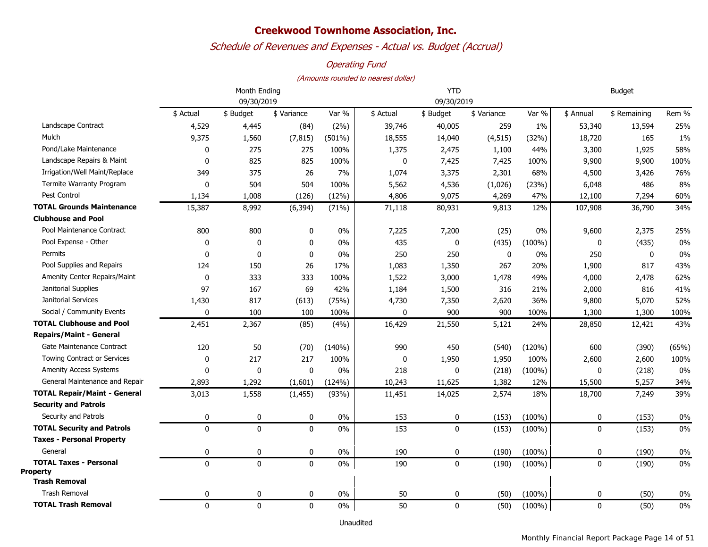## *Schedule of Revenues and Expenses - Actual vs. Budget (Accrual)*

### *Operating Fund*

#### *(Amounts rounded to nearest dollar)*

|                                                  |              | Month Ending |             |           | <b>YTD</b>  | <b>Budget</b> |             |           |             |              |       |
|--------------------------------------------------|--------------|--------------|-------------|-----------|-------------|---------------|-------------|-----------|-------------|--------------|-------|
|                                                  | 09/30/2019   |              |             |           |             | 09/30/2019    |             |           |             |              |       |
|                                                  | \$ Actual    | \$ Budget    | \$ Variance | Var %     | \$ Actual   | \$ Budget     | \$ Variance | Var %     | \$ Annual   | \$ Remaining | Rem % |
| Landscape Contract                               | 4,529        | 4,445        | (84)        | $(2\%)$   | 39,746      | 40,005        | 259         | $1\%$     | 53,340      | 13,594       | 25%   |
| Mulch                                            | 9,375        | 1,560        | (7, 815)    | $(501\%)$ | 18,555      | 14,040        | (4, 515)    | (32%)     | 18,720      | 165          | $1\%$ |
| Pond/Lake Maintenance                            | 0            | 275          | 275         | 100%      | 1,375       | 2,475         | 1,100       | 44%       | 3,300       | 1,925        | 58%   |
| Landscape Repairs & Maint                        | 0            | 825          | 825         | 100%      | $\mathbf 0$ | 7,425         | 7,425       | 100%      | 9,900       | 9,900        | 100%  |
| Irrigation/Well Maint/Replace                    | 349          | 375          | 26          | 7%        | 1,074       | 3,375         | 2,301       | 68%       | 4,500       | 3,426        | 76%   |
| Termite Warranty Program                         | $\mathbf 0$  | 504          | 504         | 100%      | 5,562       | 4,536         | (1,026)     | (23%)     | 6,048       | 486          | 8%    |
| Pest Control                                     | 1,134        | 1,008        | (126)       | (12%)     | 4,806       | 9,075         | 4,269       | 47%       | 12,100      | 7,294        | 60%   |
| <b>TOTAL Grounds Maintenance</b>                 | 15,387       | 8,992        | (6, 394)    | (71%)     | 71,118      | 80,931        | 9,813       | 12%       | 107,908     | 36,790       | 34%   |
| <b>Clubhouse and Pool</b>                        |              |              |             |           |             |               |             |           |             |              |       |
| Pool Maintenance Contract                        | 800          | 800          | 0           | $0\%$     | 7,225       | 7,200         | (25)        | 0%        | 9,600       | 2,375        | 25%   |
| Pool Expense - Other                             | $\pmb{0}$    | $\mathbf 0$  | 0           | $0\%$     | 435         | 0             | (435)       | $(100\%)$ | 0           | (435)        | 0%    |
| Permits                                          | 0            | $\mathbf 0$  | 0           | $0\%$     | 250         | 250           | 0           | 0%        | 250         | 0            | 0%    |
| Pool Supplies and Repairs                        | 124          | 150          | 26          | 17%       | 1,083       | 1,350         | 267         | 20%       | 1,900       | 817          | 43%   |
| Amenity Center Repairs/Maint                     | 0            | 333          | 333         | 100%      | 1,522       | 3,000         | 1,478       | 49%       | 4,000       | 2,478        | 62%   |
| Janitorial Supplies                              | 97           | 167          | 69          | 42%       | 1,184       | 1,500         | 316         | 21%       | 2,000       | 816          | 41%   |
| Janitorial Services                              | 1,430        | 817          | (613)       | (75%)     | 4,730       | 7,350         | 2,620       | 36%       | 9,800       | 5,070        | 52%   |
| Social / Community Events                        | $\mathbf 0$  | 100          | 100         | 100%      | 0           | 900           | 900         | 100%      | 1,300       | 1,300        | 100%  |
| <b>TOTAL Clubhouse and Pool</b>                  | 2,451        | 2,367        | (85)        | (4%)      | 16,429      | 21,550        | 5,121       | 24%       | 28,850      | 12,421       | 43%   |
| <b>Repairs/Maint - General</b>                   |              |              |             |           |             |               |             |           |             |              |       |
| Gate Maintenance Contract                        | 120          | 50           | (70)        | (140%)    | 990         | 450           | (540)       | (120%)    | 600         | (390)        | (65%) |
| <b>Towing Contract or Services</b>               | 0            | 217          | 217         | 100%      | 0           | 1,950         | 1,950       | 100%      | 2,600       | 2,600        | 100%  |
| <b>Amenity Access Systems</b>                    | 0            | 0            | $\pmb{0}$   | 0%        | 218         | 0             | (218)       | $(100\%)$ | $\mathbf 0$ | (218)        | 0%    |
| General Maintenance and Repair                   | 2,893        | 1,292        | (1,601)     | (124%)    | 10,243      | 11,625        | 1,382       | 12%       | 15,500      | 5,257        | 34%   |
| <b>TOTAL Repair/Maint - General</b>              | 3,013        | 1,558        | (1, 455)    | (93%)     | 11,451      | 14,025        | 2,574       | 18%       | 18,700      | 7,249        | 39%   |
| <b>Security and Patrols</b>                      |              |              |             |           |             |               |             |           |             |              |       |
| Security and Patrols                             | 0            | 0            | 0           | $0\%$     | 153         | 0             | (153)       | $(100\%)$ | 0           | (153)        | $0\%$ |
| <b>TOTAL Security and Patrols</b>                | $\mathbf{0}$ | $\mathbf{0}$ | $\mathbf 0$ | $0\%$     | 153         | $\mathbf 0$   | (153)       | $(100\%)$ | $\mathbf 0$ | (153)        | 0%    |
| <b>Taxes - Personal Property</b>                 |              |              |             |           |             |               |             |           |             |              |       |
| General                                          | $\mathbf 0$  | $\mathbf 0$  | 0           | $0\%$     | 190         | $\mathbf 0$   | (190)       | $(100\%)$ | 0           | (190)        | 0%    |
| <b>TOTAL Taxes - Personal</b><br><b>Property</b> | $\mathbf{0}$ | $\mathbf{0}$ | $\mathbf 0$ | $0\%$     | 190         | $\mathbf{0}$  | (190)       | $(100\%)$ | $\pmb{0}$   | (190)        | 0%    |
| <b>Trash Removal</b>                             |              |              |             |           |             |               |             |           |             |              |       |
| <b>Trash Removal</b>                             | 0            | 0            | 0           | 0%        | 50          | 0             | (50)        | $(100\%)$ | 0           | (50)         | 0%    |
| <b>TOTAL Trash Removal</b>                       | $\mathbf 0$  | $\mathbf 0$  | $\mathbf 0$ | $0\%$     | 50          | $\mathbf 0$   | (50)        | $(100\%)$ | 0           | (50)         | 0%    |

Unaudited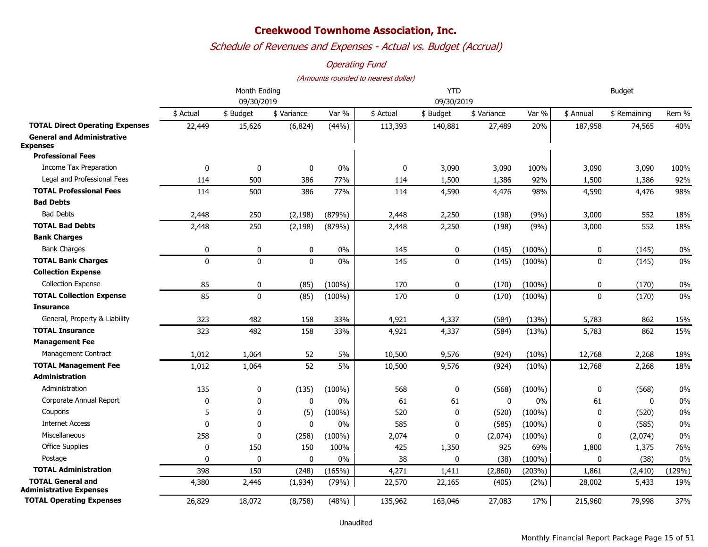## *Schedule of Revenues and Expenses - Actual vs. Budget (Accrual)*

### *Operating Fund*

#### *(Amounts rounded to nearest dollar)*

|                                                      |              | Month Ending |              | <b>YTD</b> |             |              |              | <b>Budget</b> |              |              |        |
|------------------------------------------------------|--------------|--------------|--------------|------------|-------------|--------------|--------------|---------------|--------------|--------------|--------|
|                                                      | 09/30/2019   |              |              |            | 09/30/2019  |              |              |               |              |              |        |
|                                                      | \$ Actual    | \$ Budget    | \$ Variance  | Var %      | \$ Actual   | \$ Budget    | \$ Variance  | Var %         | \$ Annual    | \$ Remaining | Rem %  |
| <b>TOTAL Direct Operating Expenses</b>               | 22,449       | 15,626       | (6, 824)     | (44%)      | 113,393     | 140,881      | 27,489       | 20%           | 187,958      | 74,565       | 40%    |
| <b>General and Administrative</b><br><b>Expenses</b> |              |              |              |            |             |              |              |               |              |              |        |
| <b>Professional Fees</b>                             |              |              |              |            |             |              |              |               |              |              |        |
| <b>Income Tax Preparation</b>                        | 0            | $\mathbf 0$  | 0            | $0\%$      | $\mathbf 0$ | 3,090        | 3,090        | 100%          | 3,090        | 3,090        | 100%   |
| Legal and Professional Fees                          | 114          | 500          | 386          | 77%        | 114         | 1,500        | 1,386        | 92%           | 1,500        | 1,386        | 92%    |
| <b>TOTAL Professional Fees</b>                       | 114          | 500          | 386          | 77%        | 114         | 4,590        | 4,476        | 98%           | 4,590        | 4,476        | 98%    |
| <b>Bad Debts</b>                                     |              |              |              |            |             |              |              |               |              |              |        |
| <b>Bad Debts</b>                                     | 2,448        | 250          | (2, 198)     | (879%)     | 2,448       | 2,250        | (198)        | (9%)          | 3,000        | 552          | 18%    |
| <b>TOTAL Bad Debts</b>                               | 2,448        | 250          | (2, 198)     | (879%)     | 2,448       | 2,250        | (198)        | (9%)          | 3,000        | 552          | 18%    |
| <b>Bank Charges</b>                                  |              |              |              |            |             |              |              |               |              |              |        |
| <b>Bank Charges</b>                                  | 0            | $\pmb{0}$    | 0            | $0\%$      | 145         | 0            | (145)        | $(100\%)$     | 0            | (145)        | 0%     |
| <b>TOTAL Bank Charges</b>                            | $\Omega$     | $\mathbf 0$  | $\mathbf{0}$ | 0%         | 145         | $\mathbf{0}$ | (145)        | $(100\%)$     | $\mathbf{0}$ | (145)        | 0%     |
| <b>Collection Expense</b>                            |              |              |              |            |             |              |              |               |              |              |        |
| <b>Collection Expense</b>                            | 85           | 0            | (85)         | $(100\%)$  | 170         | 0            | (170)        | $(100\%)$     | 0            | (170)        | 0%     |
| <b>TOTAL Collection Expense</b>                      | 85           | $\mathbf{0}$ | (85)         | $(100\%)$  | 170         | $\mathbf{0}$ | (170)        | $(100\%)$     | $\mathbf{0}$ | (170)        | 0%     |
| <b>Insurance</b>                                     |              |              |              |            |             |              |              |               |              |              |        |
| General, Property & Liability                        | 323          | 482          | 158          | 33%        | 4,921       | 4,337        | (584)        | (13%)         | 5,783        | 862          | 15%    |
| <b>TOTAL Insurance</b>                               | 323          | 482          | 158          | 33%        | 4,921       | 4,337        | (584)        | (13%)         | 5,783        | 862          | 15%    |
| <b>Management Fee</b>                                |              |              |              |            |             |              |              |               |              |              |        |
| Management Contract                                  | 1,012        | 1,064        | 52           | 5%         | 10,500      | 9,576        | (924)        | (10%)         | 12,768       | 2,268        | 18%    |
| <b>TOTAL Management Fee</b>                          | 1,012        | 1,064        | 52           | 5%         | 10,500      | 9,576        | (924)        | (10%)         | 12,768       | 2,268        | 18%    |
| <b>Administration</b>                                |              |              |              |            |             |              |              |               |              |              |        |
| Administration                                       | 135          | 0            | (135)        | $(100\%)$  | 568         | 0            | (568)        | $(100\%)$     | 0            | (568)        | 0%     |
| Corporate Annual Report                              | $\mathbf{0}$ | 0            | $\Omega$     | $0\%$      | 61          | 61           | $\mathbf{0}$ | $0\%$         | 61           | $\mathbf{0}$ | 0%     |
| Coupons                                              | 5            | $\mathbf 0$  | (5)          | $(100\%)$  | 520         | $\mathbf 0$  | (520)        | $(100\%)$     | $\mathbf 0$  | (520)        | 0%     |
| <b>Internet Access</b>                               | $\Omega$     | $\mathbf 0$  | $\mathbf 0$  | 0%         | 585         | 0            | (585)        | $(100\%)$     | 0            | (585)        | 0%     |
| Miscellaneous                                        | 258          | $\mathbf 0$  | (258)        | $(100\%)$  | 2,074       | 0            | (2,074)      | $(100\%)$     | 0            | (2,074)      | 0%     |
| <b>Office Supplies</b>                               | 0            | 150          | 150          | 100%       | 425         | 1,350        | 925          | 69%           | 1,800        | 1,375        | 76%    |
| Postage                                              | 0            | $\mathbf 0$  | 0            | $0\%$      | 38          | 0            | (38)         | $(100\%)$     | $\mathbf 0$  | (38)         | 0%     |
| <b>TOTAL Administration</b>                          | 398          | 150          | (248)        | (165%)     | 4,271       | 1,411        | (2,860)      | (203%)        | 1,861        | (2, 410)     | (129%) |
| <b>TOTAL General and</b><br>Administrative Expenses  | 4,380        | 2,446        | (1,934)      | (79%)      | 22,570      | 22,165       | (405)        | (2%)          | 28,002       | 5,433        | 19%    |
| <b>TOTAL Operating Expenses</b>                      | 26,829       | 18,072       | (8,758)      | (48%)      | 135,962     | 163,046      | 27,083       | 17%           | 215,960      | 79,998       | 37%    |

Unaudited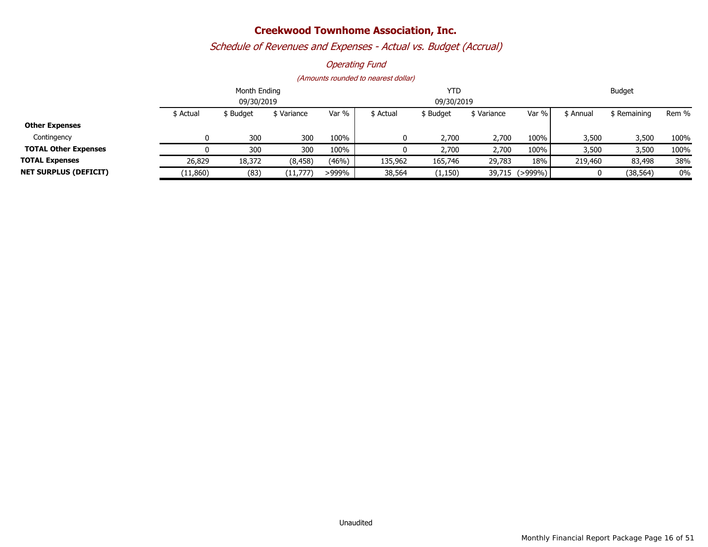# *Schedule of Revenues and Expenses - Actual vs. Budget (Accrual)*

### *Operating Fund*

|                              |           | Month Ending |           | <b>YTD</b> |           |            |            | <b>Budget</b>  |           |              |       |
|------------------------------|-----------|--------------|-----------|------------|-----------|------------|------------|----------------|-----------|--------------|-------|
|                              |           | 09/30/2019   |           |            |           | 09/30/2019 |            |                |           |              |       |
|                              | \$ Actual | \$ Budget    | Variance  | Var %      | \$ Actual | \$ Budget  | S Variance | Var %          | \$ Annual | \$ Remaining | Rem % |
| <b>Other Expenses</b>        |           |              |           |            |           |            |            |                |           |              |       |
| Contingency                  |           | 300          | 300       | 100%       |           | 2,700      | 2,700      | 100%           | 3,500     | 3,500        | 100%  |
| <b>TOTAL Other Expenses</b>  |           | 300          | 300       | 100%       |           | 2,700      | 2,700      | 100%           | 3,500     | 3,500        | 100%  |
| <b>TOTAL Expenses</b>        | 26,829    | 18,372       | (8, 458)  | (46%)      | 135,962   | 165,746    | 29,783     | 18%            | 219,460   | 83,498       | 38%   |
| <b>NET SURPLUS (DEFICIT)</b> | (11,860)  | (83)         | (11, 777) | >999%      | 38,564    | (1, 150)   |            | 39,715 (>999%) |           | (38, 564)    | $0\%$ |